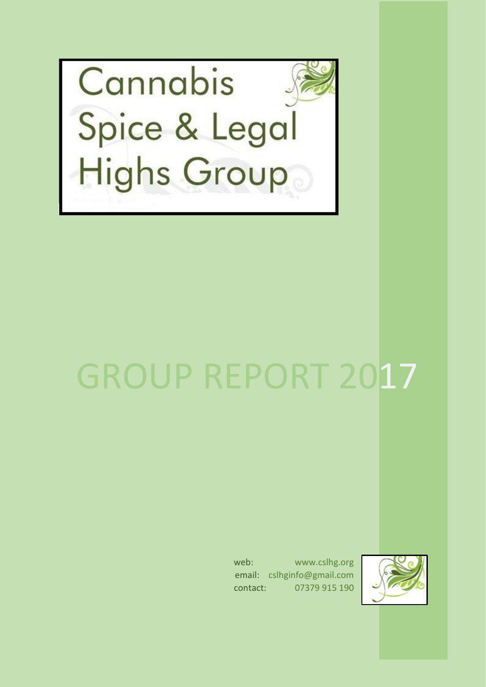

# GROUP REPORT 2017

web: www.cslhg.org email: cslhginfo@gmail.com contact: 07379 915 190

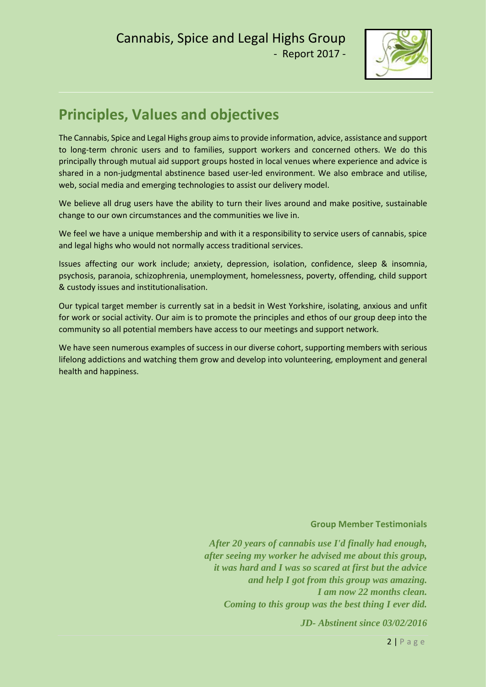

# **Principles, Values and objectives**

The Cannabis, Spice and Legal Highs group aims to provide information, advice, assistance and support to long-term chronic users and to families, support workers and concerned others. We do this principally through mutual aid support groups hosted in local venues where experience and advice is shared in a non-judgmental abstinence based user-led environment. We also embrace and utilise, web, social media and emerging technologies to assist our delivery model.

We believe all drug users have the ability to turn their lives around and make positive, sustainable change to our own circumstances and the communities we live in.

We feel we have a unique membership and with it a responsibility to service users of cannabis, spice and legal highs who would not normally access traditional services.

Issues affecting our work include; anxiety, depression, isolation, confidence, sleep & insomnia, psychosis, paranoia, schizophrenia, unemployment, homelessness, poverty, offending, child support & custody issues and institutionalisation.

Our typical target member is currently sat in a bedsit in West Yorkshire, isolating, anxious and unfit for work or social activity. Our aim is to promote the principles and ethos of our group deep into the community so all potential members have access to our meetings and support network.

We have seen numerous examples of success in our diverse cohort, supporting members with serious lifelong addictions and watching them grow and develop into volunteering, employment and general health and happiness.

#### **Group Member Testimonials**

*After 20 years of cannabis use I'd finally had enough, after seeing my worker he advised me about this group, it was hard and I was so scared at first but the advice and help I got from this group was amazing. I am now 22 months clean. Coming to this group was the best thing I ever did.*

*JD- Abstinent since 03/02/2016*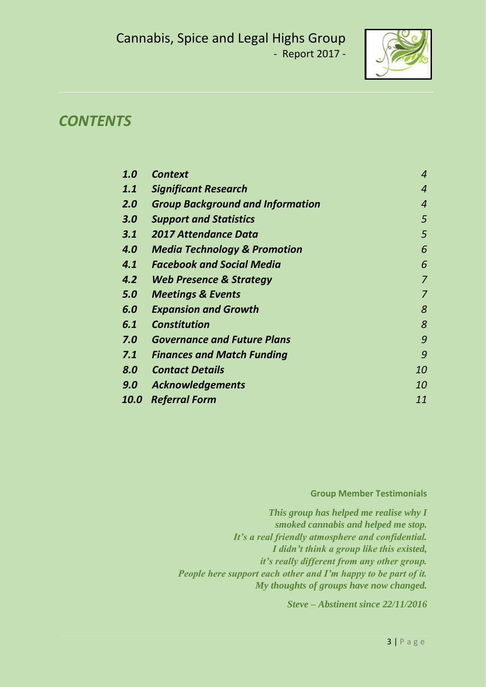

### *CONTENTS*

| 1.0         | <b>Context</b>                          | $\boldsymbol{4}$ |
|-------------|-----------------------------------------|------------------|
| 1.1         | <b>Significant Research</b>             | $\overline{4}$   |
| 2.0         | <b>Group Background and Information</b> | $\overline{4}$   |
| 3.0         | <b>Support and Statistics</b>           | 5                |
| 3.1         | <b>2017 Attendance Data</b>             | 5                |
| 4.0         | <b>Media Technology &amp; Promotion</b> | 6                |
| 4.1         | <b>Facebook and Social Media</b>        | 6                |
| 4.2         | <b>Web Presence &amp; Strategy</b>      | $\overline{7}$   |
| 5.0         | <b>Meetings &amp; Events</b>            | 7                |
| 6.0         | <b>Expansion and Growth</b>             | 8                |
| 6.1         | <b>Constitution</b>                     | 8                |
| 7.0         | <b>Governance and Future Plans</b>      | 9                |
| 7.1         | <b>Finances and Match Funding</b>       | 9                |
| 8.0         | <b>Contact Details</b>                  | 10               |
| 9.0         | <b>Acknowledgements</b>                 | <i>10</i>        |
| <b>10.0</b> | <b>Referral Form</b>                    | 11               |

#### **Group Member Testimonials**

*This group has helped me realise why I smoked cannabis and helped me stop. It's a real friendly atmosphere and confidential. I didn't think a group like this existed, it's really different from any other group. People here support each other and I'm happy to be part of it. My thoughts of groups have now changed.*

*Steve – Abstinent since 22/11/2016*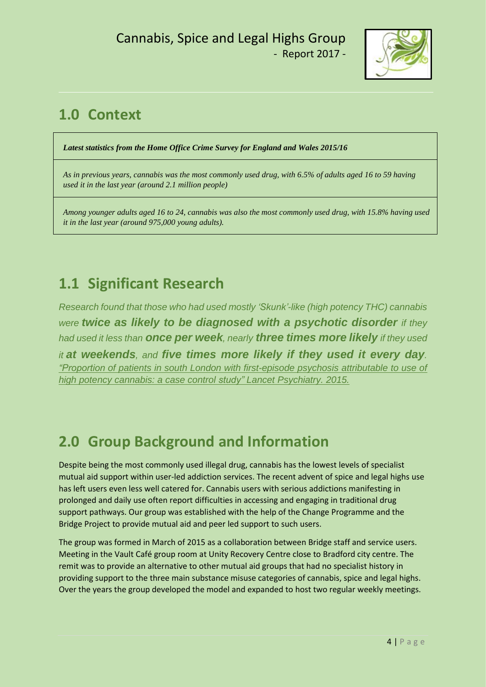

# **1.0 Context**

*Latest statistics from the Home Office Crime Survey for England and Wales 2015/16*

*As in previous years, cannabis was the most commonly used drug, with 6.5% of adults aged 16 to 59 having used it in the last year (around 2.1 million people)*

*Among younger adults aged 16 to 24, cannabis was also the most commonly used drug, with 15.8% having used it in the last year (around 975,000 young adults).*

# **1.1 Significant Research**

*Research found that those who had used mostly 'Skunk'-like (high potency THC) cannabis were twice as likely to be diagnosed with a psychotic disorder if they had used it less than once per week, nearly three times more likely if they used it at weekends, and five times more likely if they used it every day. "Proportion of patients in south London with [first-episode](https://www.google.co.uk/search?q=%E2%80%9CProportion+of+patients+in+south+London+with+first-episode+psychosis+attributable+to+use+of+high+potency+cannabis%3A+a+case+control+study%E2%80%9D+Lancet+Psychiatry.+2015.&oq=%E2%80%9CProportion+of+patients+in+south+London+with+first-episode+psychosis+attributable+to+use+of+high+potency+cannabis%3A+a+case+control+study%E2%80%9D+Lancet+Psychiatry.+2015.&aqs=chrome..69i57&sourceid=chrome&ie=UTF-8) psychosis attributable to use of high potency cannabis: a case control study" Lancet [Psychiatry.](https://www.google.co.uk/search?q=%E2%80%9CProportion+of+patients+in+south+London+with+first-episode+psychosis+attributable+to+use+of+high+potency+cannabis%3A+a+case+control+study%E2%80%9D+Lancet+Psychiatry.+2015.&oq=%E2%80%9CProportion+of+patients+in+south+London+with+first-episode+psychosis+attributable+to+use+of+high+potency+cannabis%3A+a+case+control+study%E2%80%9D+Lancet+Psychiatry.+2015.&aqs=chrome..69i57&sourceid=chrome&ie=UTF-8) 2015.*

# **2.0 Group Background and Information**

Despite being the most commonly used illegal drug, cannabis has the lowest levels of specialist mutual aid support within user-led addiction services. The recent advent of spice and legal highs use has left users even less well catered for. Cannabis users with serious addictions manifesting in prolonged and daily use often report difficulties in accessing and engaging in traditional drug support pathways. Our group was established with the help of the Change Programme and the Bridge Project to provide mutual aid and peer led support to such users.

The group was formed in March of 2015 as a collaboration between Bridge staff and service users. Meeting in the Vault Café group room at Unity Recovery Centre close to Bradford city centre. The remit was to provide an alternative to other mutual aid groups that had no specialist history in providing support to the three main substance misuse categories of cannabis, spice and legal highs. Over the years the group developed the model and expanded to host two regular weekly meetings.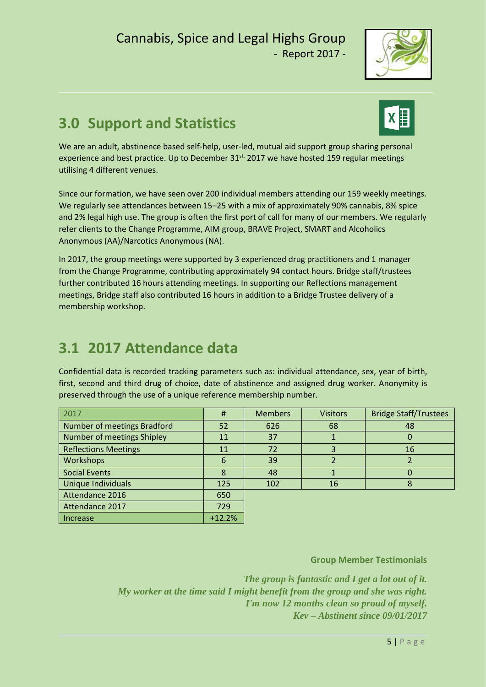

# **3.0 Support and Statistics**



We are an adult, abstinence based self-help, user-led, mutual aid support group sharing personal experience and best practice. Up to December 31<sup>st,</sup> 2017 we have hosted 159 regular meetings utilising 4 different venues.

Since our formation, we have seen over 200 individual members attending our 159 weekly meetings. We regularly see attendances between 15–25 with a mix of approximately 90% cannabis, 8% spice and 2% legal high use. The group is often the first port of call for many of our members. We regularly refer clients to the Change Programme, AIM group, BRAVE Project, SMART and Alcoholics Anonymous (AA)/Narcotics Anonymous (NA).

In 2017, the group meetings were supported by 3 experienced drug practitioners and 1 manager from the Change Programme, contributing approximately 94 contact hours. Bridge staff/trustees further contributed 16 hours attending meetings. In supporting our Reflections management meetings, Bridge staff also contributed 16 hours in addition to a Bridge Trustee delivery of a membership workshop.

## **3.1 2017 Attendance data**

Confidential data is recorded tracking parameters such as: individual attendance, sex, year of birth, first, second and third drug of choice, date of abstinence and assigned drug worker. Anonymity is preserved through the use of a unique reference membership number.

| 2017                        | Ħ        | <b>Members</b> | <b>Visitors</b> | <b>Bridge Staff/Trustees</b> |  |
|-----------------------------|----------|----------------|-----------------|------------------------------|--|
| Number of meetings Bradford | 52       | 626            | 68              | 48                           |  |
| Number of meetings Shipley  | 11       | 37             |                 | U                            |  |
| <b>Reflections Meetings</b> | 11       | 72             | 3               | 16                           |  |
| <b>Workshops</b>            | 6        | 39             |                 |                              |  |
| <b>Social Events</b>        | 8        | 48             |                 |                              |  |
| Unique Individuals          | 125      | 102            | 16              |                              |  |
| Attendance 2016             | 650      |                |                 |                              |  |
| Attendance 2017             | 729      |                |                 |                              |  |
| <b>Increase</b>             | $+12.2%$ |                |                 |                              |  |

**Group Member Testimonials**

*The group is fantastic and I get a lot out of it. My worker at the time said I might benefit from the group and she was right. I'm now 12 months clean so proud of myself. Kev – Abstinent since 09/01/2017*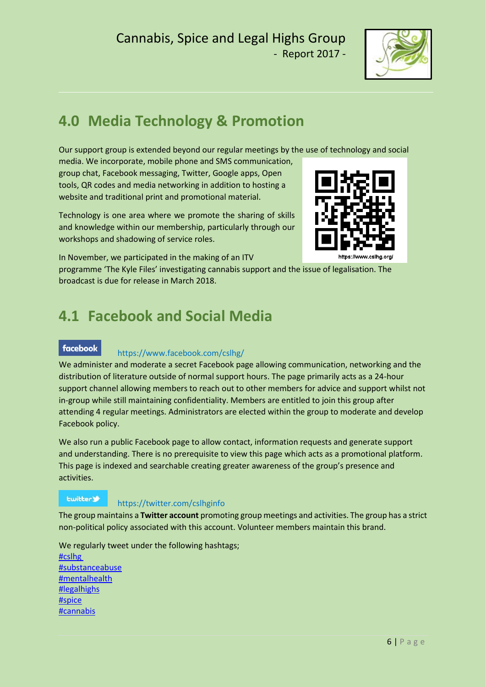

https://www.cslha.org/

# **4.0 Media Technology & Promotion**

Our support group is extended beyond our regular meetings by the use of technology and social

media. We incorporate, mobile phone and SMS communication, group chat, Facebook messaging, Twitter, Google apps, Open tools, QR codes and media networking in addition to hosting a website and traditional print and promotional material.

Technology is one area where we promote the sharing of skills and knowledge within our membership, particularly through our workshops and shadowing of service roles.



programme 'The Kyle Files' investigating cannabis support and the issue of legalisation. The broadcast is due for release in March 2018.

# **4.1 Facebook and Social Media**

#### facebook

#### https://www.facebook.com/cslhg/

We administer and moderate a secret Facebook page allowing communication, networking and the distribution of literature outside of normal support hours. The page primarily acts as a 24-hour support channel allowing members to reach out to other members for advice and support whilst not in-group while still maintaining confidentiality. Members are entitled to join this group after attending 4 regular meetings. Administrators are elected within the group to moderate and develop Facebook policy.

We also run a public Facebook page to allow contact, information requests and generate support and understanding. There is no prerequisite to view this page which acts as a promotional platform. This page is indexed and searchable creating greater awareness of the group's presence and activities.

#### **Lwitter**

#### https://twitter.com/cslhginfo

The group maintains a **Twitter account** promoting group meetings and activities. The group has a strict non-political policy associated with this account. Volunteer members maintain this brand.

We regularly tweet under the following hashtags; [#cslhg](https://twitter.com/hashtag/cslhg?src=hash) [#substanceabuse](https://twitter.com/hashtag/substanceabuse?src=hash) [#mentalhealth](https://twitter.com/hashtag/mentalhealth?src=hash) [#legalhighs](https://twitter.com/hashtag/legalhighs?src=hash) [#spice](https://twitter.com/hashtag/spice?src=hash) [#cannabis](https://twitter.com/hashtag/cannabis?src=hash)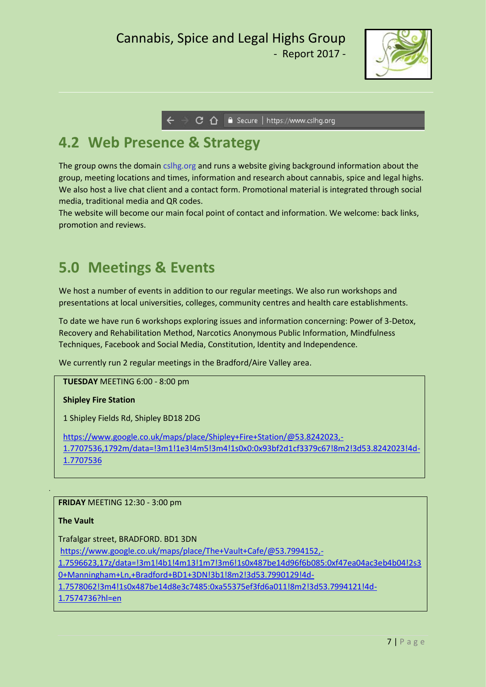

→ C △ ● Secure | https://www.cslhg.org

## **4.2 Web Presence & Strategy**

The group owns the domain cslhg.org and runs a website giving background information about the group, meeting locations and times, information and research about cannabis, spice and legal highs. We also host a live chat client and a contact form. Promotional material is integrated through social media, traditional media and QR codes.

The website will become our main focal point of contact and information. We welcome: back links, promotion and reviews.

### **5.0 Meetings & Events**

We host a number of events in addition to our regular meetings. We also run workshops and presentations at local universities, colleges, community centres and health care establishments.

To date we have run 6 workshops exploring issues and information concerning: Power of 3-Detox, Recovery and Rehabilitation Method, Narcotics Anonymous Public Information, Mindfulness Techniques, Facebook and Social Media, Constitution, Identity and Independence.

We currently run 2 regular meetings in the Bradford/Aire Valley area.

**TUESDAY** MEETING 6:00 - 8:00 pm

#### **Shipley Fire Station**

1 Shipley Fields Rd, Shipley BD18 2DG

[https://www.google.co.uk/maps/place/Shipley+Fire+Station/@53.8242023,-](https://www.google.co.uk/maps/place/Shipley+Fire+Station/@53.8242023,-1.7707536,1792m/data=!3m1!1e3!4m5!3m4!1s0x0:0x93bf2d1cf3379c67!8m2!3d53.8242023!4d-1.7707536) [1.7707536,1792m/data=!3m1!1e3!4m5!3m4!1s0x0:0x93bf2d1cf3379c67!8m2!3d53.8242023!4d-](https://www.google.co.uk/maps/place/Shipley+Fire+Station/@53.8242023,-1.7707536,1792m/data=!3m1!1e3!4m5!3m4!1s0x0:0x93bf2d1cf3379c67!8m2!3d53.8242023!4d-1.7707536)[1.7707536](https://www.google.co.uk/maps/place/Shipley+Fire+Station/@53.8242023,-1.7707536,1792m/data=!3m1!1e3!4m5!3m4!1s0x0:0x93bf2d1cf3379c67!8m2!3d53.8242023!4d-1.7707536)

**FRIDAY** MEETING 12:30 - 3:00 pm

#### **The Vault**

Trafalgar street, BRADFORD. BD1 3DN [https://www.google.co.uk/maps/place/The+Vault+Cafe/@53.7994152,-](https://www.google.co.uk/maps/place/The+Vault+Cafe/@53.7994152,-1.7596623,17z/data=!3m1!4b1!4m13!1m7!3m6!1s0x487be14d96f6b085:0xf47ea04ac3eb4b04!2s30+Manningham+Ln,+Bradford+BD1+3DN!3b1!8m2!3d53.7990129!4d-1.7578062!3m4!1s0x487be14d8e3c7485:0xa55375ef3fd6a011!8m2!3d53.7994121!4d-1.7574736?hl=en) [1.7596623,17z/data=!3m1!4b1!4m13!1m7!3m6!1s0x487be14d96f6b085:0xf47ea04ac3eb4b04!2s3](https://www.google.co.uk/maps/place/The+Vault+Cafe/@53.7994152,-1.7596623,17z/data=!3m1!4b1!4m13!1m7!3m6!1s0x487be14d96f6b085:0xf47ea04ac3eb4b04!2s30+Manningham+Ln,+Bradford+BD1+3DN!3b1!8m2!3d53.7990129!4d-1.7578062!3m4!1s0x487be14d8e3c7485:0xa55375ef3fd6a011!8m2!3d53.7994121!4d-1.7574736?hl=en) [0+Manningham+Ln,+Bradford+BD1+3DN!3b1!8m2!3d53.7990129!4d-](https://www.google.co.uk/maps/place/The+Vault+Cafe/@53.7994152,-1.7596623,17z/data=!3m1!4b1!4m13!1m7!3m6!1s0x487be14d96f6b085:0xf47ea04ac3eb4b04!2s30+Manningham+Ln,+Bradford+BD1+3DN!3b1!8m2!3d53.7990129!4d-1.7578062!3m4!1s0x487be14d8e3c7485:0xa55375ef3fd6a011!8m2!3d53.7994121!4d-1.7574736?hl=en)[1.7578062!3m4!1s0x487be14d8e3c7485:0xa55375ef3fd6a011!8m2!3d53.7994121!4d-](https://www.google.co.uk/maps/place/The+Vault+Cafe/@53.7994152,-1.7596623,17z/data=!3m1!4b1!4m13!1m7!3m6!1s0x487be14d96f6b085:0xf47ea04ac3eb4b04!2s30+Manningham+Ln,+Bradford+BD1+3DN!3b1!8m2!3d53.7990129!4d-1.7578062!3m4!1s0x487be14d8e3c7485:0xa55375ef3fd6a011!8m2!3d53.7994121!4d-1.7574736?hl=en)[1.7574736?hl=en](https://www.google.co.uk/maps/place/The+Vault+Cafe/@53.7994152,-1.7596623,17z/data=!3m1!4b1!4m13!1m7!3m6!1s0x487be14d96f6b085:0xf47ea04ac3eb4b04!2s30+Manningham+Ln,+Bradford+BD1+3DN!3b1!8m2!3d53.7990129!4d-1.7578062!3m4!1s0x487be14d8e3c7485:0xa55375ef3fd6a011!8m2!3d53.7994121!4d-1.7574736?hl=en)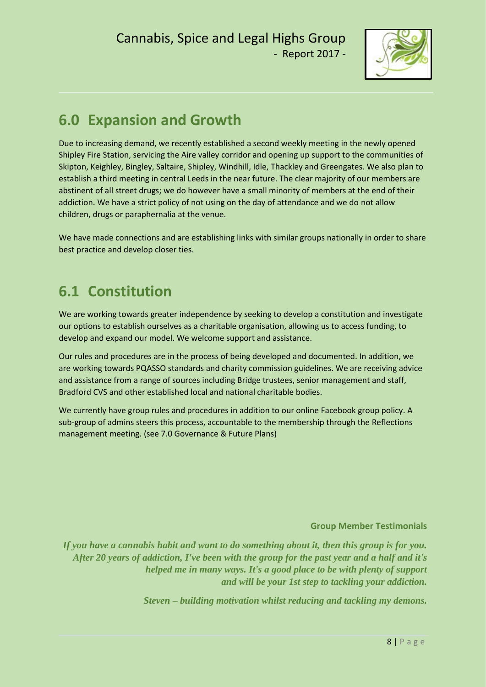

## **6.0 Expansion and Growth**

Due to increasing demand, we recently established a second weekly meeting in the newly opened Shipley Fire Station, servicing the Aire valley corridor and opening up support to the communities of Skipton, Keighley, Bingley, Saltaire, Shipley, Windhill, Idle, Thackley and Greengates. We also plan to establish a third meeting in central Leeds in the near future. The clear majority of our members are abstinent of all street drugs; we do however have a small minority of members at the end of their addiction. We have a strict policy of not using on the day of attendance and we do not allow children, drugs or paraphernalia at the venue.

We have made connections and are establishing links with similar groups nationally in order to share best practice and develop closer ties.

## **6.1 Constitution**

We are working towards greater independence by seeking to develop a constitution and investigate our options to establish ourselves as a charitable organisation, allowing us to access funding, to develop and expand our model. We welcome support and assistance.

Our rules and procedures are in the process of being developed and documented. In addition, we are working towards PQASSO standards and charity commission guidelines. We are receiving advice and assistance from a range of sources including Bridge trustees, senior management and staff, Bradford CVS and other established local and national charitable bodies.

We currently have group rules and procedures in addition to our online Facebook group policy. A sub-group of admins steers this process, accountable to the membership through the Reflections management meeting. (see 7.0 Governance & Future Plans)

#### **Group Member Testimonials**

*If you have a cannabis habit and want to do something about it, then this group is for you. After 20 years of addiction, I've been with the group for the past year and a half and it's helped me in many ways. It's a good place to be with plenty of support and will be your 1st step to tackling your addiction.*

*Steven – building motivation whilst reducing and tackling my demons.*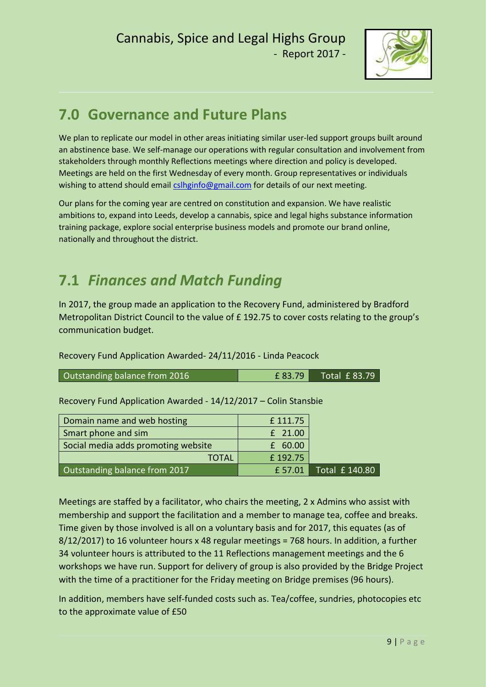

## **7.0 Governance and Future Plans**

We plan to replicate our model in other areas initiating similar user-led support groups built around an abstinence base. We self-manage our operations with regular consultation and involvement from stakeholders through monthly Reflections meetings where direction and policy is developed. Meetings are held on the first Wednesday of every month. Group representatives or individuals wishing to attend should email [cslhginfo@gmail.com](mailto:cslhginfo@gmail.com) for details of our next meeting.

Our plans for the coming year are centred on constitution and expansion. We have realistic ambitions to, expand into Leeds, develop a cannabis, spice and legal highs substance information training package, explore social enterprise business models and promote our brand online, nationally and throughout the district.

## **7.1** *Finances and Match Funding*

In 2017, the group made an application to the Recovery Fund, administered by Bradford Metropolitan District Council to the value of £ 192.75 to cover costs relating to the group's communication budget.

Recovery Fund Application Awarded- 24/11/2016 - Linda Peacock

| Outstanding balance from 2016 | £ 83.79 | Total £83.79 |
|-------------------------------|---------|--------------|
|-------------------------------|---------|--------------|

Recovery Fund Application Awarded - 14/12/2017 – Colin Stansbie

| Domain name and web hosting         | £111.75 |                                                                |
|-------------------------------------|---------|----------------------------------------------------------------|
| Smart phone and sim                 | £ 21.00 |                                                                |
| Social media adds promoting website | £ 60.00 |                                                                |
| <b>TOTAL</b>                        | £192.75 |                                                                |
| Outstanding balance from 2017       | £ 57.01 | $\overline{\phantom{0}}$ Total $\overline{\phantom{0}}$ 140.80 |

Meetings are staffed by a facilitator, who chairs the meeting, 2 x Admins who assist with membership and support the facilitation and a member to manage tea, coffee and breaks. Time given by those involved is all on a voluntary basis and for 2017, this equates (as of 8/12/2017) to 16 volunteer hours x 48 regular meetings = 768 hours. In addition, a further 34 volunteer hours is attributed to the 11 Reflections management meetings and the 6 workshops we have run. Support for delivery of group is also provided by the Bridge Project with the time of a practitioner for the Friday meeting on Bridge premises (96 hours).

In addition, members have self-funded costs such as. Tea/coffee, sundries, photocopies etc to the approximate value of £50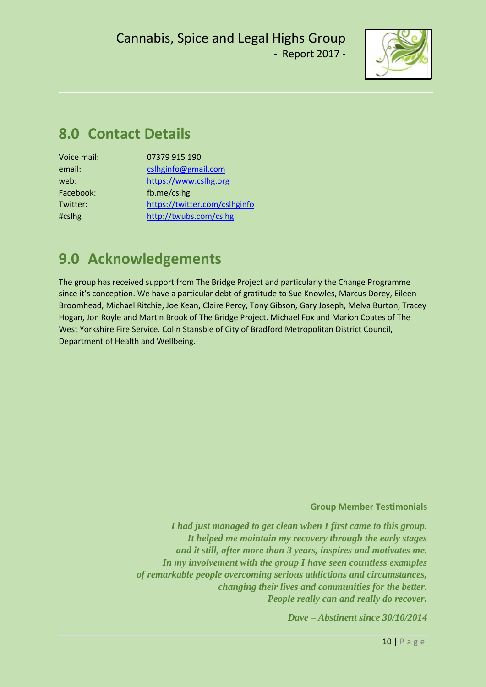

## **8.0 Contact Details**

| 07379 915 190                 |
|-------------------------------|
| cslhginfo@gmail.com           |
| https://www.cslhg.org         |
| fb.me/cslhg                   |
| https://twitter.com/cslhginfo |
| http://twubs.com/cslhg        |
|                               |

## **9.0 Acknowledgements**

The group has received support from The Bridge Project and particularly the Change Programme since it's conception. We have a particular debt of gratitude to Sue Knowles, Marcus Dorey, Eileen Broomhead, Michael Ritchie, Joe Kean, Claire Percy, Tony Gibson, Gary Joseph, Melva Burton, Tracey Hogan, Jon Royle and Martin Brook of The Bridge Project. Michael Fox and Marion Coates of The West Yorkshire Fire Service. Colin Stansbie of City of Bradford Metropolitan District Council, Department of Health and Wellbeing.

#### **Group Member Testimonials**

*I had just managed to get clean when I first came to this group. It helped me maintain my recovery through the early stages and it still, after more than 3 years, inspires and motivates me. In my involvement with the group I have seen countless examples of remarkable people overcoming serious addictions and circumstances, changing their lives and communities for the better. People really can and really do recover.*

*Dave – Abstinent since 30/10/2014*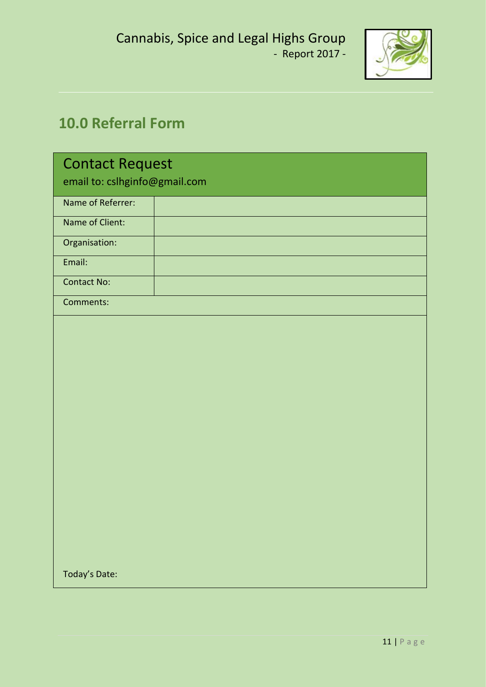

# **10.0 Referral Form**

| <b>Contact Request</b><br>email to: cslhginfo@gmail.com |  |  |
|---------------------------------------------------------|--|--|
| Name of Referrer:                                       |  |  |
| Name of Client:                                         |  |  |
| Organisation:                                           |  |  |
| Email:                                                  |  |  |
| <b>Contact No:</b>                                      |  |  |
| Comments:                                               |  |  |
|                                                         |  |  |
|                                                         |  |  |
|                                                         |  |  |
|                                                         |  |  |
|                                                         |  |  |
|                                                         |  |  |
|                                                         |  |  |
|                                                         |  |  |
|                                                         |  |  |
|                                                         |  |  |
|                                                         |  |  |
|                                                         |  |  |
| Today's Date:                                           |  |  |